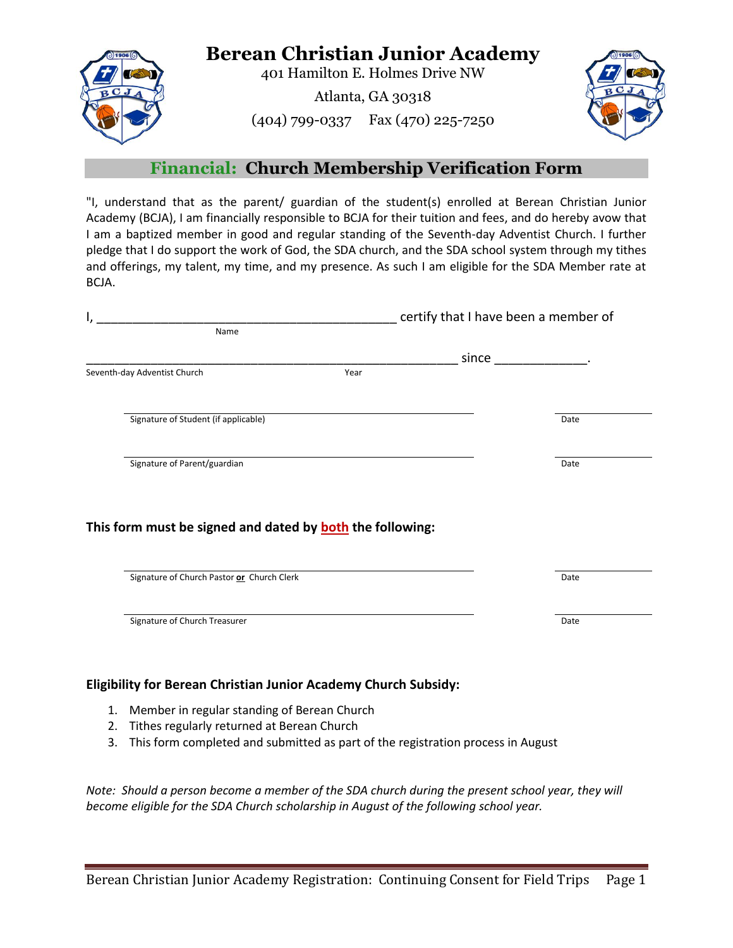

## **Berean Christian Junior Academy**

401 Hamilton E. Holmes Drive NW

Atlanta, GA 30318

(404) 799-0337 Fax (470) 225-7250



## **Financial: Church Membership Verification Form**

"I, understand that as the parent/ guardian of the student(s) enrolled at Berean Christian Junior Academy (BCJA), I am financially responsible to BCJA for their tuition and fees, and do hereby avow that I am a baptized member in good and regular standing of the Seventh-day Adventist Church. I further pledge that I do support the work of God, the SDA church, and the SDA school system through my tithes and offerings, my talent, my time, and my presence. As such I am eligible for the SDA Member rate at BCJA.

|                              |                                            |                                                                  | certify that I have been a member of                                                                           |      |
|------------------------------|--------------------------------------------|------------------------------------------------------------------|----------------------------------------------------------------------------------------------------------------|------|
|                              | Name                                       |                                                                  |                                                                                                                |      |
|                              |                                            |                                                                  | since the control of the control of the control of the control of the control of the control of the control of |      |
| Seventh-day Adventist Church |                                            | Year                                                             |                                                                                                                |      |
|                              |                                            |                                                                  |                                                                                                                |      |
|                              | Signature of Student (if applicable)       |                                                                  |                                                                                                                | Date |
|                              | Signature of Parent/guardian               |                                                                  |                                                                                                                | Date |
|                              |                                            |                                                                  |                                                                                                                |      |
|                              |                                            |                                                                  |                                                                                                                |      |
|                              |                                            | This form must be signed and dated by <b>both</b> the following: |                                                                                                                |      |
|                              |                                            |                                                                  |                                                                                                                |      |
|                              | Signature of Church Pastor or Church Clerk |                                                                  |                                                                                                                | Date |
|                              |                                            |                                                                  |                                                                                                                |      |
|                              | Signature of Church Treasurer              |                                                                  |                                                                                                                | Date |

## **Eligibility for Berean Christian Junior Academy Church Subsidy:**

- 1. Member in regular standing of Berean Church
- 2. Tithes regularly returned at Berean Church
- 3. This form completed and submitted as part of the registration process in August

*Note: Should a person become a member of the SDA church during the present school year, they will become eligible for the SDA Church scholarship in August of the following school year.*